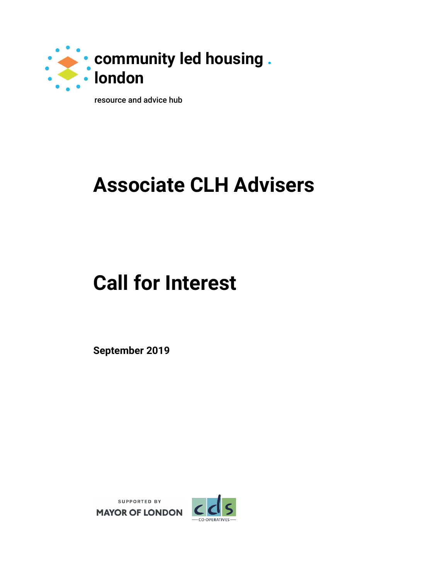

resource and advice hub

# **Associate CLH Advisers**

# **Call for Interest**

**September 2019**

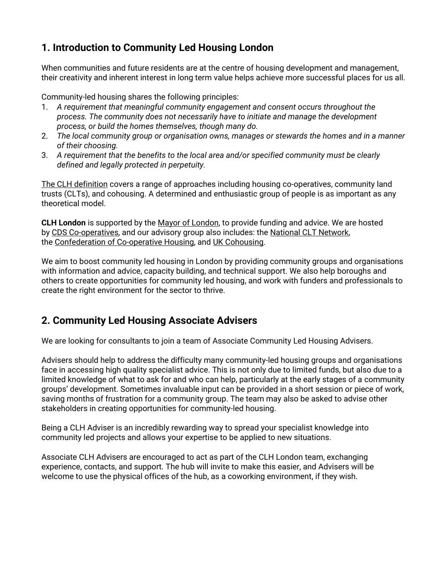# **1. Introduction to Community Led Housing London**

When communities and future residents are at the centre of housing development and management, their creativity and inherent interest in long term value helps achieve more successful places for us all.

Community-led housing shares the following principles:

- 1. *A requirement that meaningful community engagement and consent occurs throughout the process. The community does not necessarily have to initiate and manage the development process, or build the homes themselves, though many do.*
- 2. *The local community group or organisation owns, manages or stewards the homes and in a manner of their choosing.*
- 3. *A requirement that the benefits to the local area and/or specified community must be clearly defined and legally protected in perpetuity.*

[The CLH definition](https://www.communityledhousing.london/wp-content/uploads/2019/09/CLH-definition-interpretation.pdf) covers a range of approaches including housing co-operatives, community land trusts (CLTs), and cohousing. A determined and enthusiastic group of people is as important as any theoretical model.

**CLH London** is supported by the [Mayor of London,](https://www.london.gov.uk/what-we-do/housing-and-land/increasing-housing-supply/community-led-housing) to provide funding and advice. We are hosted by [CDS Co-operatives,](https://cds.coop/) and our advisory group also includes: the [National CLT Network,](http://www.communitylandtrusts.org.uk/)  the [Confederation of Co-operative Housing,](http://www.cch.coop/) and [UK Cohousing.](https://cohousing.org.uk/)

We aim to boost community led housing in London by providing community groups and organisations with information and advice, capacity building, and technical support. We also help boroughs and others to create opportunities for community led housing, and work with funders and professionals to create the right environment for the sector to thrive.

# **2. Community Led Housing Associate Advisers**

We are looking for consultants to join a team of Associate Community Led Housing Advisers.

Advisers should help to address the difficulty many community-led housing groups and organisations face in accessing high quality specialist advice. This is not only due to limited funds, but also due to a limited knowledge of what to ask for and who can help, particularly at the early stages of a community groups' development. Sometimes invaluable input can be provided in a short session or piece of work, saving months of frustration for a community group. The team may also be asked to advise other stakeholders in creating opportunities for community-led housing.

Being a CLH Adviser is an incredibly rewarding way to spread your specialist knowledge into community led projects and allows your expertise to be applied to new situations.

Associate CLH Advisers are encouraged to act as part of the CLH London team, exchanging experience, contacts, and support. The hub will invite to make this easier, and Advisers will be welcome to use the physical offices of the hub, as a coworking environment, if they wish.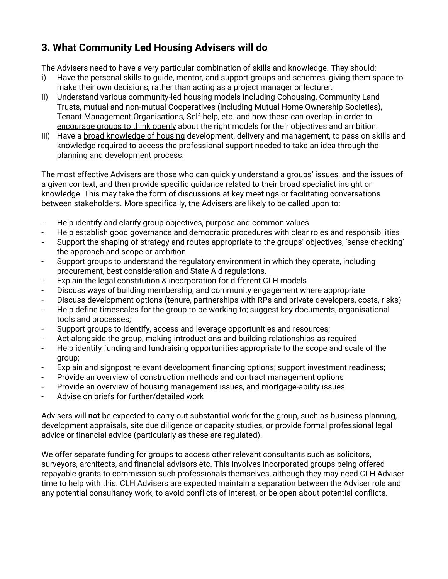# **3. What Community Led Housing Advisers will do**

The Advisers need to have a very particular combination of skills and knowledge. They should:

- i) Have the personal skills to guide, mentor, and support groups and schemes, giving them space to make their own decisions, rather than acting as a project manager or lecturer.
- ii) Understand various community-led housing models including Cohousing, Community Land Trusts, mutual and non-mutual Cooperatives (including Mutual Home Ownership Societies), Tenant Management Organisations, Self-help, etc. and how these can overlap, in order to encourage groups to think openly about the right models for their objectives and ambition.
- iii) Have a broad knowledge of housing development, delivery and management, to pass on skills and knowledge required to access the professional support needed to take an idea through the planning and development process.

The most effective Advisers are those who can quickly understand a groups' issues, and the issues of a given context, and then provide specific guidance related to their broad specialist insight or knowledge. This may take the form of discussions at key meetings or facilitating conversations between stakeholders. More specifically, the Advisers are likely to be called upon to:

- Help identify and clarify group objectives, purpose and common values
- Help establish good governance and democratic procedures with clear roles and responsibilities
- Support the shaping of strategy and routes appropriate to the groups' objectives, 'sense checking' the approach and scope or ambition.
- Support groups to understand the regulatory environment in which they operate, including procurement, best consideration and State Aid regulations.
- Explain the legal constitution & incorporation for different CLH models
- Discuss ways of building membership, and community engagement where appropriate
- Discuss development options (tenure, partnerships with RPs and private developers, costs, risks)
- Help define timescales for the group to be working to; suggest key documents, organisational tools and processes;
- Support groups to identify, access and leverage opportunities and resources;
- Act alongside the group, making introductions and building relationships as required
- Help identify funding and fundraising opportunities appropriate to the scope and scale of the group;
- Explain and signpost relevant development financing options; support investment readiness;
- Provide an overview of construction methods and contract management options
- Provide an overview of housing management issues, and mortgage-ability issues
- Advise on briefs for further/detailed work

Advisers will **not** be expected to carry out substantial work for the group, such as business planning, development appraisals, site due diligence or capacity studies, or provide formal professional legal advice or financial advice (particularly as these are regulated).

We offer separate [funding](https://www.communityledhousing.london/support/) for groups to access other relevant consultants such as solicitors, surveyors, architects, and financial advisors etc. This involves incorporated groups being offered repayable grants to commission such professionals themselves, although they may need CLH Adviser time to help with this. CLH Advisers are expected maintain a separation between the Adviser role and any potential consultancy work, to avoid conflicts of interest, or be open about potential conflicts.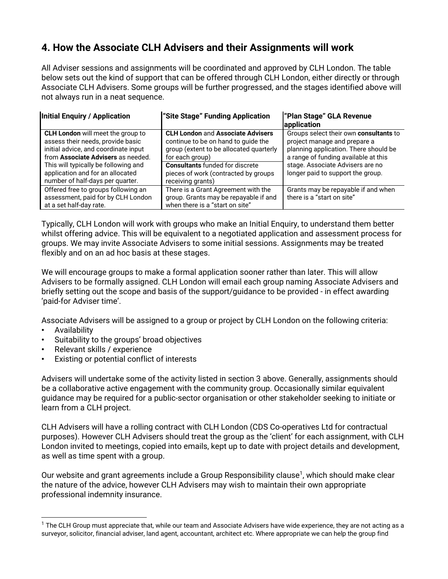# **4. How the Associate CLH Advisers and their Assignments will work**

All Adviser sessions and assignments will be coordinated and approved by CLH London. The table below sets out the kind of support that can be offered through CLH London, either directly or through Associate CLH Advisers. Some groups will be further progressed, and the stages identified above will not always run in a neat sequence.

| <b>Initial Enquiry / Application</b>                                                                                                                                                                                                                                        | "Site Stage" Funding Application                                                                                                                                                                                                                     | "Plan Stage" GLA Revenue                                                                                                                                                                                                         |
|-----------------------------------------------------------------------------------------------------------------------------------------------------------------------------------------------------------------------------------------------------------------------------|------------------------------------------------------------------------------------------------------------------------------------------------------------------------------------------------------------------------------------------------------|----------------------------------------------------------------------------------------------------------------------------------------------------------------------------------------------------------------------------------|
|                                                                                                                                                                                                                                                                             |                                                                                                                                                                                                                                                      | application                                                                                                                                                                                                                      |
| <b>CLH London</b> will meet the group to<br>assess their needs, provide basic<br>initial advice, and coordinate input<br>from Associate Advisers as needed.<br>This will typically be following and<br>application and for an allocated<br>number of half-days per quarter. | <b>CLH London and Associate Advisers</b><br>continue to be on hand to guide the<br>group (extent to be allocated quarterly<br>for each group)<br><b>Consultants</b> funded for discrete<br>pieces of work (contracted by groups<br>receiving grants) | Groups select their own consultants to<br>project manage and prepare a<br>planning application. There should be<br>a range of funding available at this<br>stage. Associate Advisers are no<br>longer paid to support the group. |
| Offered free to groups following an                                                                                                                                                                                                                                         | There is a Grant Agreement with the                                                                                                                                                                                                                  | Grants may be repayable if and when                                                                                                                                                                                              |
| assessment, paid for by CLH London<br>at a set half-day rate.                                                                                                                                                                                                               | group. Grants may be repayable if and<br>when there is a "start on site"                                                                                                                                                                             | there is a "start on site"                                                                                                                                                                                                       |

Typically, CLH London will work with groups who make an Initial Enquiry, to understand them better whilst offering advice. This will be equivalent to a negotiated application and assessment process for groups. We may invite Associate Advisers to some initial sessions. Assignments may be treated flexibly and on an ad hoc basis at these stages.

We will encourage groups to make a formal application sooner rather than later. This will allow Advisers to be formally assigned. CLH London will email each group naming Associate Advisers and briefly setting out the scope and basis of the support/guidance to be provided - in effect awarding 'paid-for Adviser time'.

Associate Advisers will be assigned to a group or project by CLH London on the following criteria:

- Availability
- Suitability to the groups' broad objectives
- Relevant skills / experience
- Existing or potential conflict of interests

Advisers will undertake some of the activity listed in section 3 above. Generally, assignments should be a collaborative active engagement with the community group. Occasionally similar equivalent guidance may be required for a public-sector organisation or other stakeholder seeking to initiate or learn from a CLH project.

CLH Advisers will have a rolling contract with CLH London (CDS Co-operatives Ltd for contractual purposes). However CLH Advisers should treat the group as the 'client' for each assignment, with CLH London invited to meetings, copied into emails, kept up to date with project details and development, as well as time spent with a group.

Our website and grant agreements include a Group Responsibility clause<sup>1</sup>, which should make clear the nature of the advice, however CLH Advisers may wish to maintain their own appropriate professional indemnity insurance.

 $1$  The CLH Group must appreciate that, while our team and Associate Advisers have wide experience, they are not acting as a surveyor, solicitor, financial adviser, land agent, accountant, architect etc. Where appropriate we can help the group find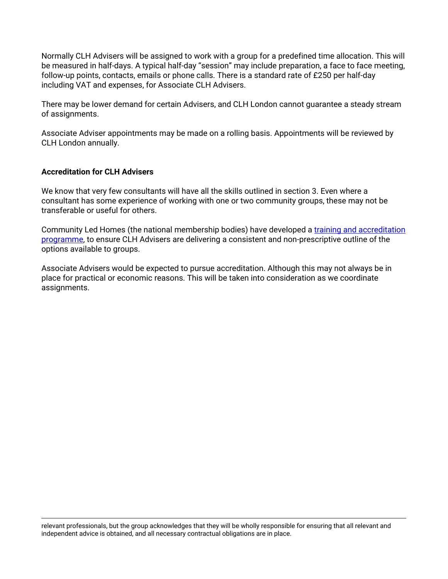Normally CLH Advisers will be assigned to work with a group for a predefined time allocation. This will be measured in half-days. A typical half-day "session" may include preparation, a face to face meeting, follow-up points, contacts, emails or phone calls. There is a standard rate of £250 per half-day including VAT and expenses, for Associate CLH Advisers.

There may be lower demand for certain Advisers, and CLH London cannot guarantee a steady stream of assignments.

Associate Adviser appointments may be made on a rolling basis. Appointments will be reviewed by CLH London annually.

#### **Accreditation for CLH Advisers**

We know that very few consultants will have all the skills outlined in section 3. Even where a consultant has some experience of working with one or two community groups, these may not be transferable or useful for others.

Community Led Homes (the national membership bodies) have developed a [training and accreditation](https://www.communityledhomes.org.uk/advisers)  [programme,](https://www.communityledhomes.org.uk/advisers) to ensure CLH Advisers are delivering a consistent and non-prescriptive outline of the options available to groups.

Associate Advisers would be expected to pursue accreditation. Although this may not always be in place for practical or economic reasons. This will be taken into consideration as we coordinate assignments.

relevant professionals, but the group acknowledges that they will be wholly responsible for ensuring that all relevant and independent advice is obtained, and all necessary contractual obligations are in place.